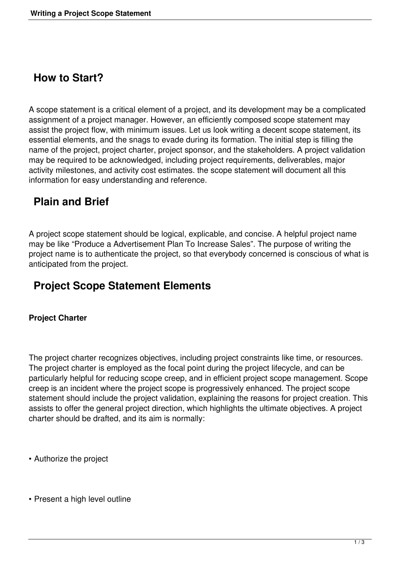### **How to Start?**

A scope statement is a critical element of a project, and its development may be a complicated assignment of a project manager. However, an efficiently composed scope statement may assist the project flow, with minimum issues. Let us look writing a decent scope statement, its essential elements, and the snags to evade during its formation. The initial step is filling the name of the project, project charter, project sponsor, and the stakeholders. A project validation may be required to be acknowledged, including project requirements, deliverables, major activity milestones, and activity cost estimates. the scope statement will document all this information for easy understanding and reference.

## **Plain and Brief**

A project scope statement should be logical, explicable, and concise. A helpful project name may be like "Produce a Advertisement Plan To Increase Sales". The purpose of writing the project name is to authenticate the project, so that everybody concerned is conscious of what is anticipated from the project.

# **Project Scope Statement Elements**

### **Project Charter**

The project charter recognizes objectives, including project constraints like time, or resources. The project charter is employed as the focal point during the project lifecycle, and can be particularly helpful for reducing scope creep, and in efficient project scope management. Scope creep is an incident where the project scope is progressively enhanced. The project scope statement should include the project validation, explaining the reasons for project creation. This assists to offer the general project direction, which highlights the ultimate objectives. A project charter should be drafted, and its aim is normally:

- Authorize the project
- Present a high level outline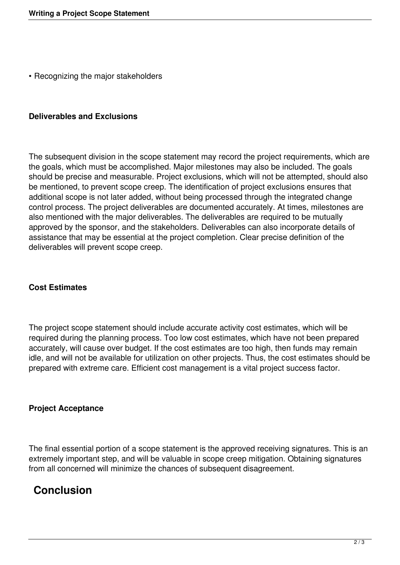• Recognizing the major stakeholders

#### **Deliverables and Exclusions**

The subsequent division in the scope statement may record the project requirements, which are the goals, which must be accomplished. Major milestones may also be included. The goals should be precise and measurable. Project exclusions, which will not be attempted, should also be mentioned, to prevent scope creep. The identification of project exclusions ensures that additional scope is not later added, without being processed through the integrated change control process. The project deliverables are documented accurately. At times, milestones are also mentioned with the major deliverables. The deliverables are required to be mutually approved by the sponsor, and the stakeholders. Deliverables can also incorporate details of assistance that may be essential at the project completion. Clear precise definition of the deliverables will prevent scope creep.

#### **Cost Estimates**

The project scope statement should include accurate activity cost estimates, which will be required during the planning process. Too low cost estimates, which have not been prepared accurately, will cause over budget. If the cost estimates are too high, then funds may remain idle, and will not be available for utilization on other projects. Thus, the cost estimates should be prepared with extreme care. Efficient cost management is a vital project success factor.

#### **Project Acceptance**

The final essential portion of a scope statement is the approved receiving signatures. This is an extremely important step, and will be valuable in scope creep mitigation. Obtaining signatures from all concerned will minimize the chances of subsequent disagreement.

### **Conclusion**